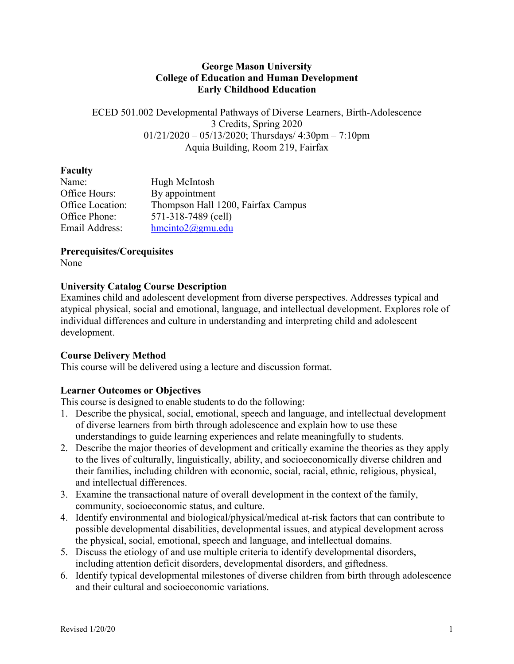#### **George Mason University College of Education and Human Development Early Childhood Education**

ECED 501.002 Developmental Pathways of Diverse Learners, Birth-Adolescence 3 Credits, Spring 2020  $01/21/2020 - 05/13/2020$ ; Thursdays/ 4:30pm – 7:10pm Aquia Building, Room 219, Fairfax

### **Faculty**

| Hugh McIntosh                      |
|------------------------------------|
| By appointment                     |
| Thompson Hall 1200, Fairfax Campus |
| 571-318-7489 (cell)                |
| $h$ mcinto $2@g$ mu.edu            |
|                                    |

## **Prerequisites/Corequisites**

None

## **University Catalog Course Description**

Examines child and adolescent development from diverse perspectives. Addresses typical and atypical physical, social and emotional, language, and intellectual development. Explores role of individual differences and culture in understanding and interpreting child and adolescent development.

## **Course Delivery Method**

This course will be delivered using a lecture and discussion format.

# **Learner Outcomes or Objectives**

This course is designed to enable students to do the following:

- 1. Describe the physical, social, emotional, speech and language, and intellectual development of diverse learners from birth through adolescence and explain how to use these understandings to guide learning experiences and relate meaningfully to students.
- 2. Describe the major theories of development and critically examine the theories as they apply to the lives of culturally, linguistically, ability, and socioeconomically diverse children and their families, including children with economic, social, racial, ethnic, religious, physical, and intellectual differences.
- 3. Examine the transactional nature of overall development in the context of the family, community, socioeconomic status, and culture.
- 4. Identify environmental and biological/physical/medical at-risk factors that can contribute to possible developmental disabilities, developmental issues, and atypical development across the physical, social, emotional, speech and language, and intellectual domains.
- 5. Discuss the etiology of and use multiple criteria to identify developmental disorders, including attention deficit disorders, developmental disorders, and giftedness.
- 6. Identify typical developmental milestones of diverse children from birth through adolescence and their cultural and socioeconomic variations.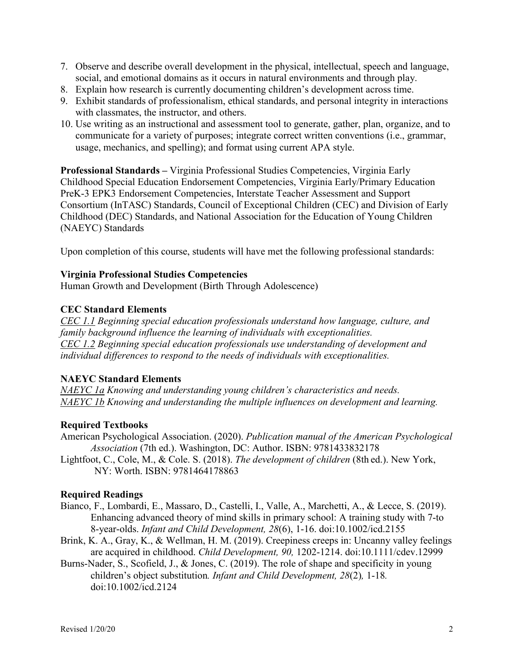- 7. Observe and describe overall development in the physical, intellectual, speech and language, social, and emotional domains as it occurs in natural environments and through play.
- 8. Explain how research is currently documenting children's development across time.
- 9. Exhibit standards of professionalism, ethical standards, and personal integrity in interactions with classmates, the instructor, and others.
- 10. Use writing as an instructional and assessment tool to generate, gather, plan, organize, and to communicate for a variety of purposes; integrate correct written conventions (i.e., grammar, usage, mechanics, and spelling); and format using current APA style.

**Professional Standards –** Virginia Professional Studies Competencies, Virginia Early Childhood Special Education Endorsement Competencies, Virginia Early/Primary Education PreK-3 EPK3 Endorsement Competencies, Interstate Teacher Assessment and Support Consortium (InTASC) Standards, Council of Exceptional Children (CEC) and Division of Early Childhood (DEC) Standards, and National Association for the Education of Young Children (NAEYC) Standards

Upon completion of this course, students will have met the following professional standards:

#### **Virginia Professional Studies Competencies**

Human Growth and Development (Birth Through Adolescence)

#### **CEC Standard Elements**

*CEC 1.1 Beginning special education professionals understand how language, culture, and family background influence the learning of individuals with exceptionalities. CEC 1.2 Beginning special education professionals use understanding of development and individual differences to respond to the needs of individuals with exceptionalities.*

#### **NAEYC Standard Elements**

*NAEYC 1a Knowing and understanding young children's characteristics and needs. NAEYC 1b Knowing and understanding the multiple influences on development and learning.*

#### **Required Textbooks**

American Psychological Association. (2020). *Publication manual of the American Psychological Association* (7th ed.). Washington, DC: Author. ISBN: 9781433832178

Lightfoot, C., Cole, M., & Cole. S. (2018). *The development of children* (8th ed.). New York, NY: Worth. ISBN: 9781464178863

#### **Required Readings**

- Bianco, F., Lombardi, E., Massaro, D., Castelli, I., Valle, A., Marchetti, A., & Lecce, S. (2019). Enhancing advanced theory of mind skills in primary school: A training study with 7-to 8-year-olds. *Infant and Child Development, 28*(6), 1-16. doi:10.1002/icd.2155
- Brink, K. A., Gray, K., & Wellman, H. M. (2019). Creepiness creeps in: Uncanny valley feelings are acquired in childhood. *Child Development, 90,* 1202-1214. doi:10.1111/cdev.12999
- Burns-Nader, S., Scofield, J., & Jones, C. (2019). The role of shape and specificity in young children's object substitution*. Infant and Child Development, 28*(2)*,* 1-18*.*  doi:10.1002/icd.2124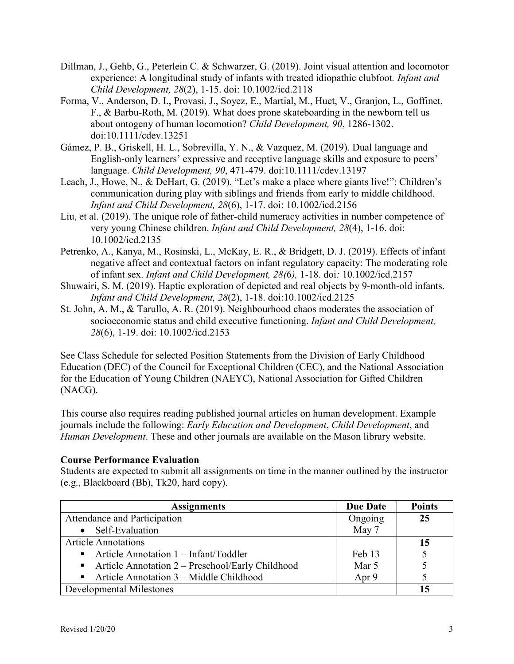- Dillman, J., Gehb, G., Peterlein C. & Schwarzer, G. (2019). Joint visual attention and locomotor experience: A longitudinal study of infants with treated idiopathic clubfoot*. Infant and Child Development, 28*(2), 1-15. doi: 10.1002/icd.2118
- Forma, V., Anderson, D. I., Provasi, J., Soyez, E., Martial, M., Huet, V., Granjon, L., Goffinet, F., & Barbu-Roth, M. (2019). What does prone skateboarding in the newborn tell us about ontogeny of human locomotion? *Child Development, 90*, 1286-1302. doi:10.1111/cdev.13251
- Gámez, P. B., Griskell, H. L., Sobrevilla, Y. N., & Vazquez, M. (2019). Dual language and English-only learners' expressive and receptive language skills and exposure to peers' language. *Child Development, 90*, 471-479. doi:10.1111/cdev.13197
- Leach, J., Howe, N., & DeHart, G. (2019). "Let's make a place where giants live!": Children's communication during play with siblings and friends from early to middle childhood. *Infant and Child Development, 28*(6), 1-17. doi: 10.1002/icd.2156
- Liu, et al. (2019). The unique role of father-child numeracy activities in number competence of very young Chinese children. *Infant and Child Development, 28*(4), 1-16. doi: 10.1002/icd.2135
- Petrenko, A., Kanya, M., Rosinski, L., McKay, E. R., & Bridgett, D. J. (2019). Effects of infant negative affect and contextual factors on infant regulatory capacity: The moderating role of infant sex. *Infant and Child Development, 28(*6*),* 1-18. doi*:* [10.1002/icd.2157](https://doi.org/10.1002/icd.2157)
- Shuwairi, S. M. (2019). Haptic exploration of depicted and real objects by 9-month-old infants. *Infant and Child Development, 28*(2), 1-18. doi:10.1002/icd.2125
- St. John, A. M., & Tarullo, A. R. (2019). Neighbourhood chaos moderates the association of socioeconomic status and child executive functioning. *Infant and Child Development, 28*(6), 1-19. doi: 10.1002/icd.2153

See Class Schedule for selected Position Statements from the Division of Early Childhood Education (DEC) of the Council for Exceptional Children (CEC), and the National Association for the Education of Young Children (NAEYC), National Association for Gifted Children (NACG).

This course also requires reading published journal articles on human development. Example journals include the following: *Early Education and Development*, *Child Development*, and *Human Development*. These and other journals are available on the Mason library website.

## **Course Performance Evaluation**

Students are expected to submit all assignments on time in the manner outlined by the instructor (e.g., Blackboard (Bb), Tk20, hard copy).

| <b>Assignments</b>                                 | <b>Due Date</b> | <b>Points</b> |
|----------------------------------------------------|-----------------|---------------|
| Attendance and Participation                       | Ongoing         | 25            |
| Self-Evaluation<br>$\bullet$                       | May 7           |               |
| <b>Article Annotations</b>                         |                 | 15            |
| Article Annotation $1 - \text{Infant/Toddler}$     | Feb 13          |               |
| Article Annotation $2 -$ Preschool/Early Childhood | Mar 5           |               |
| Article Annotation $3 -$ Middle Childhood          | Apr 9           |               |
| Developmental Milestones                           |                 |               |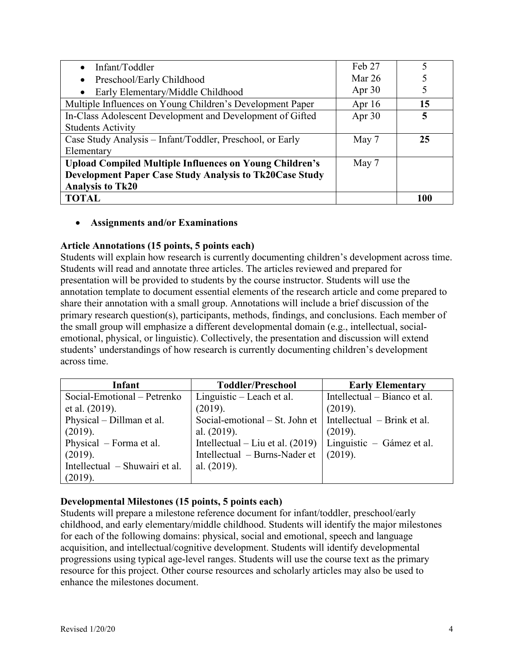| Infant/Toddler                                                 | Feb 27   |                  |
|----------------------------------------------------------------|----------|------------------|
| Preschool/Early Childhood                                      | Mar $26$ |                  |
| Early Elementary/Middle Childhood                              | Apr $30$ |                  |
| Multiple Influences on Young Children's Development Paper      | Apr $16$ | 15 <sup>15</sup> |
| In-Class Adolescent Development and Development of Gifted      | Apr $30$ |                  |
| <b>Students Activity</b>                                       |          |                  |
| Case Study Analysis – Infant/Toddler, Preschool, or Early      | May 7    | 25               |
| Elementary                                                     |          |                  |
| <b>Upload Compiled Multiple Influences on Young Children's</b> | May 7    |                  |
| <b>Development Paper Case Study Analysis to Tk20Case Study</b> |          |                  |
| <b>Analysis to Tk20</b>                                        |          |                  |
| <b>TOTAL</b>                                                   |          | 100              |

#### • **Assignments and/or Examinations**

#### **Article Annotations (15 points, 5 points each)**

Students will explain how research is currently documenting children's development across time. Students will read and annotate three articles. The articles reviewed and prepared for presentation will be provided to students by the course instructor. Students will use the annotation template to document essential elements of the research article and come prepared to share their annotation with a small group. Annotations will include a brief discussion of the primary research question(s), participants, methods, findings, and conclusions. Each member of the small group will emphasize a different developmental domain (e.g., intellectual, socialemotional, physical, or linguistic). Collectively, the presentation and discussion will extend students' understandings of how research is currently documenting children's development across time.

| Infant                         | <b>Toddler/Preschool</b>           | <b>Early Elementary</b>      |
|--------------------------------|------------------------------------|------------------------------|
| Social-Emotional – Petrenko    | Linguistic – Leach et al.          | Intellectual – Bianco et al. |
| et al. $(2019)$ .              | (2019).                            | (2019).                      |
| Physical – Dillman et al.      | Social-emotional – St. John et     | Intellectual – Brink et al.  |
| (2019).                        | al. $(2019)$ .                     | (2019).                      |
| Physical – Forma et al.        | Intellectual – Liu et al. $(2019)$ | Linguistic – Gámez et al.    |
| (2019).                        | Intellectual – Burns-Nader et      | (2019).                      |
| Intellectual – Shuwairi et al. | al. $(2019)$ .                     |                              |
| (2019).                        |                                    |                              |

## **Developmental Milestones (15 points, 5 points each)**

Students will prepare a milestone reference document for infant/toddler, preschool/early childhood, and early elementary/middle childhood. Students will identify the major milestones for each of the following domains: physical, social and emotional, speech and language acquisition, and intellectual/cognitive development. Students will identify developmental progressions using typical age-level ranges. Students will use the course text as the primary resource for this project. Other course resources and scholarly articles may also be used to enhance the milestones document.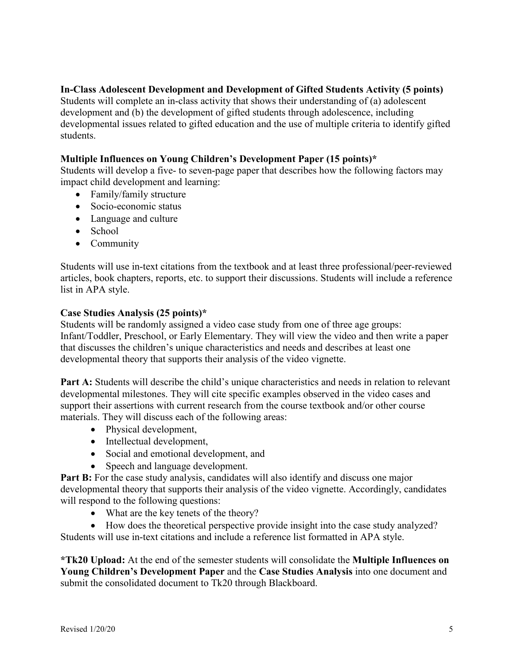## **In-Class Adolescent Development and Development of Gifted Students Activity (5 points)**

Students will complete an in-class activity that shows their understanding of (a) adolescent development and (b) the development of gifted students through adolescence, including developmental issues related to gifted education and the use of multiple criteria to identify gifted students.

## **Multiple Influences on Young Children's Development Paper (15 points)\***

Students will develop a five- to seven-page paper that describes how the following factors may impact child development and learning:

- Family/family structure
- Socio-economic status
- Language and culture
- School
- Community

Students will use in-text citations from the textbook and at least three professional/peer-reviewed articles, book chapters, reports, etc. to support their discussions. Students will include a reference list in APA style.

#### **Case Studies Analysis (25 points)\***

Students will be randomly assigned a video case study from one of three age groups: Infant/Toddler, Preschool, or Early Elementary. They will view the video and then write a paper that discusses the children's unique characteristics and needs and describes at least one developmental theory that supports their analysis of the video vignette.

Part A: Students will describe the child's unique characteristics and needs in relation to relevant developmental milestones. They will cite specific examples observed in the video cases and support their assertions with current research from the course textbook and/or other course materials. They will discuss each of the following areas:

- Physical development,
- Intellectual development,
- Social and emotional development, and
- Speech and language development.

**Part B:** For the case study analysis, candidates will also identify and discuss one major developmental theory that supports their analysis of the video vignette. Accordingly, candidates will respond to the following questions:

• What are the key tenets of the theory?

• How does the theoretical perspective provide insight into the case study analyzed?

Students will use in-text citations and include a reference list formatted in APA style.

**\*Tk20 Upload:** At the end of the semester students will consolidate the **Multiple Influences on Young Children's Development Paper** and the **Case Studies Analysis** into one document and submit the consolidated document to Tk20 through Blackboard.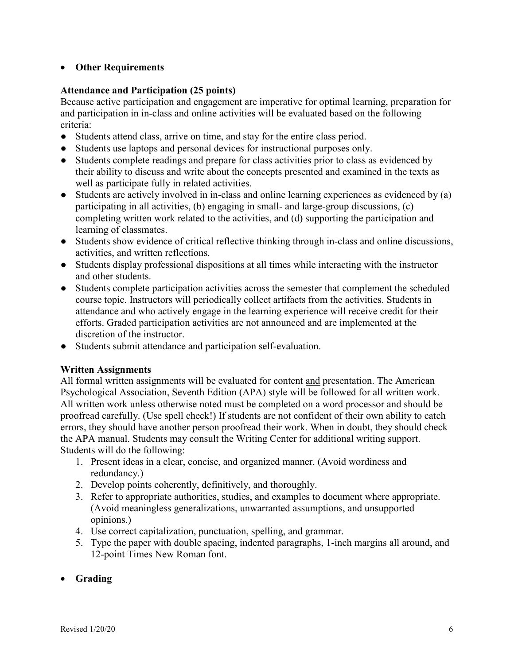# • **Other Requirements**

## **Attendance and Participation (25 points)**

Because active participation and engagement are imperative for optimal learning, preparation for and participation in in-class and online activities will be evaluated based on the following criteria:

- Students attend class, arrive on time, and stay for the entire class period.
- Students use laptops and personal devices for instructional purposes only.
- Students complete readings and prepare for class activities prior to class as evidenced by their ability to discuss and write about the concepts presented and examined in the texts as well as participate fully in related activities.
- Students are actively involved in in-class and online learning experiences as evidenced by (a) participating in all activities, (b) engaging in small- and large-group discussions, (c) completing written work related to the activities, and (d) supporting the participation and learning of classmates.
- Students show evidence of critical reflective thinking through in-class and online discussions, activities, and written reflections.
- Students display professional dispositions at all times while interacting with the instructor and other students.
- Students complete participation activities across the semester that complement the scheduled course topic. Instructors will periodically collect artifacts from the activities. Students in attendance and who actively engage in the learning experience will receive credit for their efforts. Graded participation activities are not announced and are implemented at the discretion of the instructor.
- Students submit attendance and participation self-evaluation.

## **Written Assignments**

All formal written assignments will be evaluated for content and presentation. The American Psychological Association, Seventh Edition (APA) style will be followed for all written work. All written work unless otherwise noted must be completed on a word processor and should be proofread carefully. (Use spell check!) If students are not confident of their own ability to catch errors, they should have another person proofread their work. When in doubt, they should check the APA manual. Students may consult the Writing Center for additional writing support. Students will do the following:

- 1. Present ideas in a clear, concise, and organized manner. (Avoid wordiness and redundancy.)
- 2. Develop points coherently, definitively, and thoroughly.
- 3. Refer to appropriate authorities, studies, and examples to document where appropriate. (Avoid meaningless generalizations, unwarranted assumptions, and unsupported opinions.)
- 4. Use correct capitalization, punctuation, spelling, and grammar.
- 5. Type the paper with double spacing, indented paragraphs, 1-inch margins all around, and 12-point Times New Roman font.
- **Grading**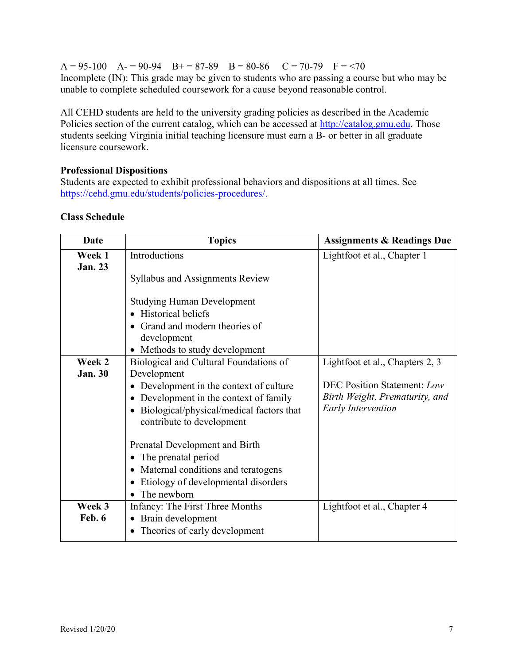$A = 95-100$   $A = 90-94$   $B = 87-89$   $B = 80-86$   $C = 70-79$   $F = 70$ Incomplete (IN): This grade may be given to students who are passing a course but who may be unable to complete scheduled coursework for a cause beyond reasonable control.

All CEHD students are held to the university grading policies as described in the Academic Policies section of the current catalog, which can be accessed at [http://catalog.gmu.edu.](http://catalog.gmu.edu/) Those students seeking Virginia initial teaching licensure must earn a B- or better in all graduate licensure coursework.

# **Professional Dispositions**

Students are expected to exhibit professional behaviors and dispositions at all times. See [https://cehd.gmu.edu/students/policies-procedures/.](https://cehd.gmu.edu/students/policies-procedures/)

| Date           | <b>Topics</b>                                         | <b>Assignments &amp; Readings Due</b> |  |  |
|----------------|-------------------------------------------------------|---------------------------------------|--|--|
| Week 1         | Introductions                                         | Lightfoot et al., Chapter 1           |  |  |
| <b>Jan. 23</b> |                                                       |                                       |  |  |
|                | <b>Syllabus and Assignments Review</b>                |                                       |  |  |
|                |                                                       |                                       |  |  |
|                | <b>Studying Human Development</b>                     |                                       |  |  |
|                | <b>Historical beliefs</b><br>$\bullet$                |                                       |  |  |
|                | • Grand and modern theories of                        |                                       |  |  |
|                | development                                           |                                       |  |  |
|                | • Methods to study development                        |                                       |  |  |
| Week 2         | Biological and Cultural Foundations of                | Lightfoot et al., Chapters 2, 3       |  |  |
| <b>Jan. 30</b> | Development                                           |                                       |  |  |
|                | Development in the context of culture                 | <b>DEC Position Statement: Low</b>    |  |  |
|                | Development in the context of family<br>$\bullet$     | Birth Weight, Prematurity, and        |  |  |
|                | Biological/physical/medical factors that<br>$\bullet$ | <b>Early Intervention</b>             |  |  |
|                | contribute to development                             |                                       |  |  |
|                |                                                       |                                       |  |  |
|                | Prenatal Development and Birth                        |                                       |  |  |
|                | The prenatal period<br>٠                              |                                       |  |  |
|                | Maternal conditions and teratogens<br>٠               |                                       |  |  |
|                | Etiology of developmental disorders<br>$\bullet$      |                                       |  |  |
|                | The newborn                                           |                                       |  |  |
| Week 3         | Infancy: The First Three Months                       | Lightfoot et al., Chapter 4           |  |  |
| Feb. 6         | Brain development<br>$\bullet$                        |                                       |  |  |
|                | Theories of early development                         |                                       |  |  |

# **Class Schedule**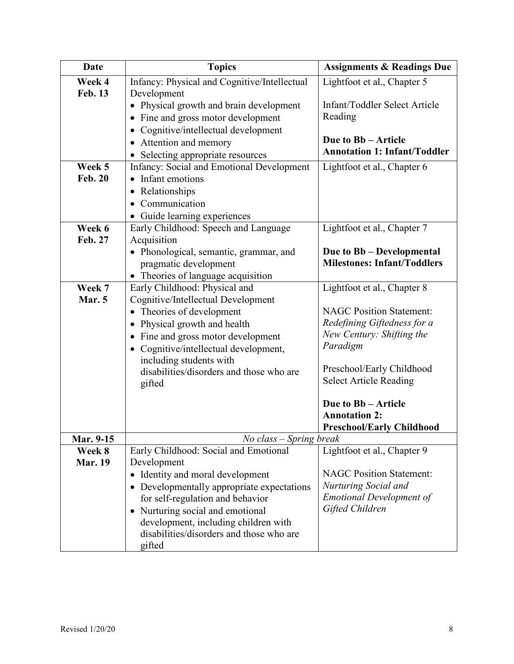| <b>Date</b>    | <b>Topics</b>                                                               | <b>Assignments &amp; Readings Due</b> |
|----------------|-----------------------------------------------------------------------------|---------------------------------------|
| Week 4         | Infancy: Physical and Cognitive/Intellectual                                | Lightfoot et al., Chapter 5           |
| <b>Feb. 13</b> | Development                                                                 |                                       |
|                | • Physical growth and brain development                                     | Infant/Toddler Select Article         |
|                | • Fine and gross motor development                                          | Reading                               |
|                | • Cognitive/intellectual development                                        |                                       |
|                | • Attention and memory                                                      | Due to Bb - Article                   |
|                | Selecting appropriate resources                                             | <b>Annotation 1: Infant/Toddler</b>   |
| Week 5         | Infancy: Social and Emotional Development                                   | Lightfoot et al., Chapter 6           |
| <b>Feb. 20</b> | Infant emotions                                                             |                                       |
|                | • Relationships                                                             |                                       |
|                | Communication                                                               |                                       |
|                | Guide learning experiences<br>$\bullet$                                     |                                       |
| Week 6         | Early Childhood: Speech and Language                                        | Lightfoot et al., Chapter 7           |
| Feb. 27        | Acquisition                                                                 |                                       |
|                | • Phonological, semantic, grammar, and                                      | Due to Bb - Developmental             |
|                | pragmatic development                                                       | <b>Milestones: Infant/Toddlers</b>    |
|                | Theories of language acquisition                                            |                                       |
| Week 7         | Early Childhood: Physical and                                               | Lightfoot et al., Chapter 8           |
| Mar. 5         | Cognitive/Intellectual Development                                          |                                       |
|                | Theories of development<br>$\bullet$                                        | <b>NAGC Position Statement:</b>       |
|                | Physical growth and health<br>$\bullet$                                     | Redefining Giftedness for a           |
|                | New Century: Shifting the<br>• Fine and gross motor development<br>Paradigm |                                       |
|                | • Cognitive/intellectual development,                                       |                                       |
|                | including students with                                                     | Preschool/Early Childhood             |
|                | disabilities/disorders and those who are                                    | <b>Select Article Reading</b>         |
|                | gifted                                                                      |                                       |
|                |                                                                             | Due to Bb - Article                   |
|                |                                                                             | <b>Annotation 2:</b>                  |
|                |                                                                             | <b>Preschool/Early Childhood</b>      |
| Mar. 9-15      | No class – Spring break                                                     |                                       |
| Week 8         | Early Childhood: Social and Emotional                                       | Lightfoot et al., Chapter 9           |
| <b>Mar. 19</b> | Development                                                                 |                                       |
|                | • Identity and moral development                                            | <b>NAGC Position Statement:</b>       |
|                | • Developmentally appropriate expectations                                  | <b>Nurturing Social and</b>           |
|                | for self-regulation and behavior                                            | <b>Emotional Development of</b>       |
|                | Nurturing social and emotional                                              | Gifted Children                       |
|                | development, including children with                                        |                                       |
|                | disabilities/disorders and those who are                                    |                                       |
|                | gifted                                                                      |                                       |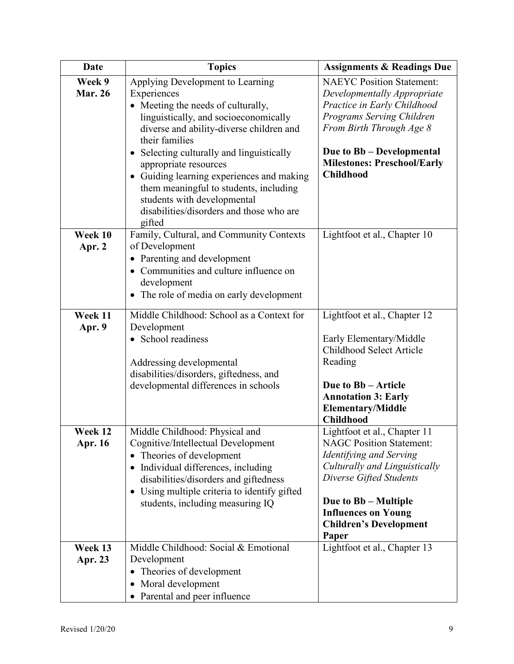| <b>Date</b>              | <b>Topics</b>                                                                                                                                                                                                                                                                                                                                                                                                                                | <b>Assignments &amp; Readings Due</b>                                                                                                                                                                                                                  |
|--------------------------|----------------------------------------------------------------------------------------------------------------------------------------------------------------------------------------------------------------------------------------------------------------------------------------------------------------------------------------------------------------------------------------------------------------------------------------------|--------------------------------------------------------------------------------------------------------------------------------------------------------------------------------------------------------------------------------------------------------|
| Week 9<br><b>Mar. 26</b> | Applying Development to Learning<br>Experiences<br>• Meeting the needs of culturally,<br>linguistically, and socioeconomically<br>diverse and ability-diverse children and<br>their families<br>• Selecting culturally and linguistically<br>appropriate resources<br>Guiding learning experiences and making<br>them meaningful to students, including<br>students with developmental<br>disabilities/disorders and those who are<br>gifted | <b>NAEYC Position Statement:</b><br>Developmentally Appropriate<br>Practice in Early Childhood<br>Programs Serving Children<br>From Birth Through Age 8<br>Due to Bb - Developmental<br><b>Milestones: Preschool/Early</b><br><b>Childhood</b>         |
| Week 10<br>Apr. 2        | Family, Cultural, and Community Contexts<br>of Development<br>• Parenting and development<br>• Communities and culture influence on<br>development<br>The role of media on early development                                                                                                                                                                                                                                                 | Lightfoot et al., Chapter 10                                                                                                                                                                                                                           |
| Week 11<br>Apr. 9        | Middle Childhood: School as a Context for<br>Development<br>• School readiness<br>Addressing developmental<br>disabilities/disorders, giftedness, and<br>developmental differences in schools                                                                                                                                                                                                                                                | Lightfoot et al., Chapter 12<br>Early Elementary/Middle<br>Childhood Select Article<br>Reading<br>Due to Bb - Article<br><b>Annotation 3: Early</b><br><b>Elementary/Middle</b><br><b>Childhood</b>                                                    |
| Week 12<br>Apr. 16       | Middle Childhood: Physical and<br>Cognitive/Intellectual Development<br>Theories of development<br>٠<br>Individual differences, including<br>$\bullet$<br>disabilities/disorders and giftedness<br>Using multiple criteria to identify gifted<br>$\bullet$<br>students, including measuring IQ                                                                                                                                               | Lightfoot et al., Chapter 11<br><b>NAGC Position Statement:</b><br>Identifying and Serving<br>Culturally and Linguistically<br>Diverse Gifted Students<br>Due to Bb – Multiple<br><b>Influences on Young</b><br><b>Children's Development</b><br>Paper |
| Week 13<br>Apr. 23       | Middle Childhood: Social & Emotional<br>Development<br>Theories of development<br>Moral development<br>$\bullet$<br>• Parental and peer influence                                                                                                                                                                                                                                                                                            | Lightfoot et al., Chapter 13                                                                                                                                                                                                                           |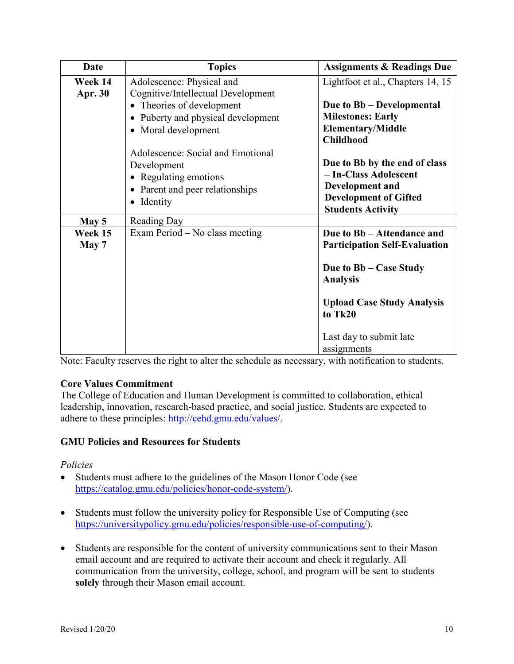| Date                      | <b>Topics</b>                                                                                                              | <b>Assignments &amp; Readings Due</b>                                                                                                 |
|---------------------------|----------------------------------------------------------------------------------------------------------------------------|---------------------------------------------------------------------------------------------------------------------------------------|
| Week 14<br><b>Apr. 30</b> | Adolescence: Physical and<br>Cognitive/Intellectual Development                                                            | Lightfoot et al., Chapters 14, 15                                                                                                     |
|                           | • Theories of development<br>Puberty and physical development<br>• Moral development                                       | Due to Bb – Developmental<br><b>Milestones: Early</b><br><b>Elementary/Middle</b><br><b>Childhood</b>                                 |
|                           | Adolescence: Social and Emotional<br>Development<br>• Regulating emotions<br>• Parent and peer relationships<br>• Identity | Due to Bb by the end of class<br>- In-Class Adolescent<br>Development and<br><b>Development of Gifted</b><br><b>Students Activity</b> |
| May 5                     | Reading Day                                                                                                                |                                                                                                                                       |
| Week 15<br>May 7          | Exam Period – No class meeting                                                                                             | Due to Bb - Attendance and<br><b>Participation Self-Evaluation</b><br>Due to Bb – Case Study<br><b>Analysis</b>                       |
|                           |                                                                                                                            | <b>Upload Case Study Analysis</b><br>to Tk20<br>Last day to submit late<br>assignments                                                |

Note: Faculty reserves the right to alter the schedule as necessary, with notification to students.

## **Core Values Commitment**

The College of Education and Human Development is committed to collaboration, ethical leadership, innovation, research-based practice, and social justice. Students are expected to adhere to these principles: [http://cehd.gmu.edu/values/.](http://cehd.gmu.edu/values/)

## **GMU Policies and Resources for Students**

#### *Policies*

- Students must adhere to the guidelines of the Mason Honor Code (see [https://catalog.gmu.edu/policies/honor-code-system/\)](https://catalog.gmu.edu/policies/honor-code-system/).
- Students must follow the university policy for Responsible Use of Computing (see [https://universitypolicy.gmu.edu/policies/responsible-use-of-computing/\)](https://universitypolicy.gmu.edu/policies/responsible-use-of-computing/).
- Students are responsible for the content of university communications sent to their Mason email account and are required to activate their account and check it regularly. All communication from the university, college, school, and program will be sent to students **solely** through their Mason email account.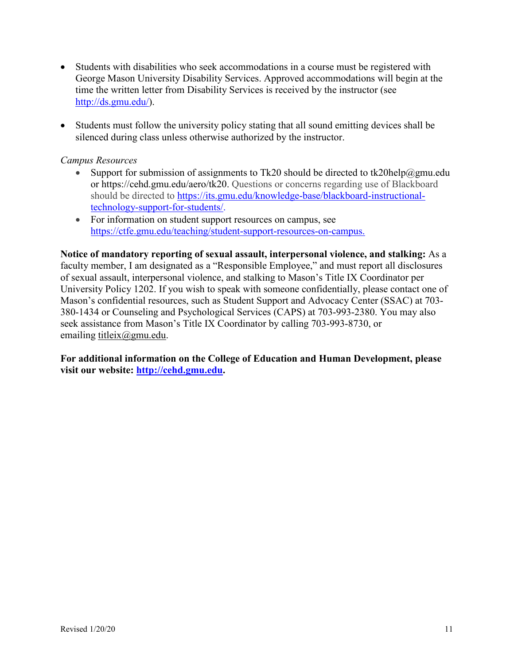- Students with disabilities who seek accommodations in a course must be registered with George Mason University Disability Services. Approved accommodations will begin at the time the written letter from Disability Services is received by the instructor (see [http://ds.gmu.edu/\)](http://ds.gmu.edu/).
- Students must follow the university policy stating that all sound emitting devices shall be silenced during class unless otherwise authorized by the instructor.

#### *Campus Resources*

- Support for submission of assignments to Tk20 should be directed to [tk20help@gmu.edu](mailto:tk20help@gmu.edu) or [https://cehd.gmu.edu/aero/tk20.](https://cehd.gmu.edu/aero/tk20) Questions or concerns regarding use of Blackboard should be directed to [https://its.gmu.edu/knowledge-base/blackboard-instructional](https://its.gmu.edu/knowledge-base/blackboard-instructional-technology-support-for-students/)[technology-support-for-students/.](https://its.gmu.edu/knowledge-base/blackboard-instructional-technology-support-for-students/)
- For information on student support resources on campus, see [https://ctfe.gmu.edu/teaching/student-support-resources-on-campus.](https://ctfe.gmu.edu/teaching/student-support-resources-on-campus)

**Notice of mandatory reporting of sexual assault, interpersonal violence, and stalking:** As a faculty member, I am designated as a "Responsible Employee," and must report all disclosures of sexual assault, interpersonal violence, and stalking to Mason's Title IX Coordinator per University Policy 1202. If you wish to speak with someone confidentially, please contact one of Mason's confidential resources, such as Student Support and Advocacy Center (SSAC) at 703- 380-1434 or Counseling and Psychological Services (CAPS) at 703-993-2380. You may also seek assistance from Mason's Title IX Coordinator by calling 703-993-8730, or emailing [titleix@gmu.edu.](mailto:titleix@gmu.edu)

**For additional information on the College of Education and Human Development, please visit our website: [http://cehd.gmu.edu.](http://cehd.gmu.edu/)**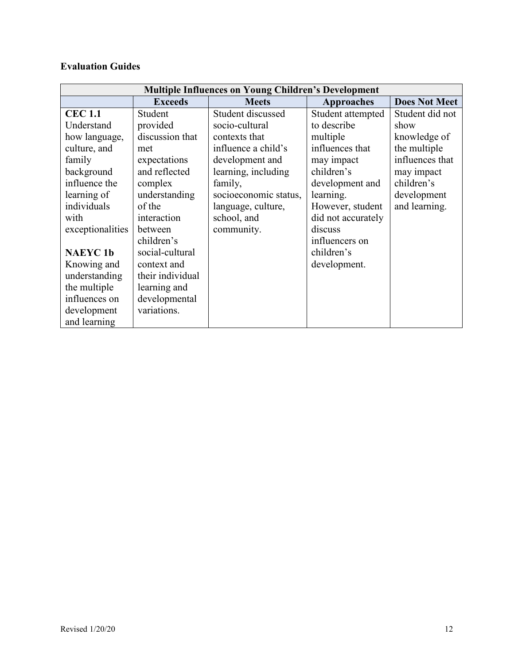# **Evaluation Guides**

| <b>Multiple Influences on Young Children's Development</b> |                  |                       |                    |                      |
|------------------------------------------------------------|------------------|-----------------------|--------------------|----------------------|
|                                                            | <b>Exceeds</b>   | <b>Meets</b>          | <b>Approaches</b>  | <b>Does Not Meet</b> |
| <b>CEC 1.1</b>                                             | Student          | Student discussed     | Student attempted  | Student did not      |
| Understand                                                 | provided         | socio-cultural        | to describe        | show                 |
| how language,                                              | discussion that  | contexts that         | multiple           | knowledge of         |
| culture, and                                               | met              | influence a child's   | influences that    | the multiple         |
| family                                                     | expectations     | development and       | may impact         | influences that      |
| background                                                 | and reflected    | learning, including   | children's         | may impact           |
| influence the                                              | complex          | family,               | development and    | children's           |
| learning of                                                | understanding    | socioeconomic status, | learning.          | development          |
| individuals                                                | of the           | language, culture,    | However, student   | and learning.        |
| with                                                       | interaction      | school, and           | did not accurately |                      |
| exceptionalities                                           | between          | community.            | discuss            |                      |
|                                                            | children's       |                       | influencers on     |                      |
| <b>NAEYC1b</b>                                             | social-cultural  |                       | children's         |                      |
| Knowing and                                                | context and      |                       | development.       |                      |
| understanding                                              | their individual |                       |                    |                      |
| the multiple                                               | learning and     |                       |                    |                      |
| influences on                                              | developmental    |                       |                    |                      |
| development                                                | variations.      |                       |                    |                      |
| and learning                                               |                  |                       |                    |                      |